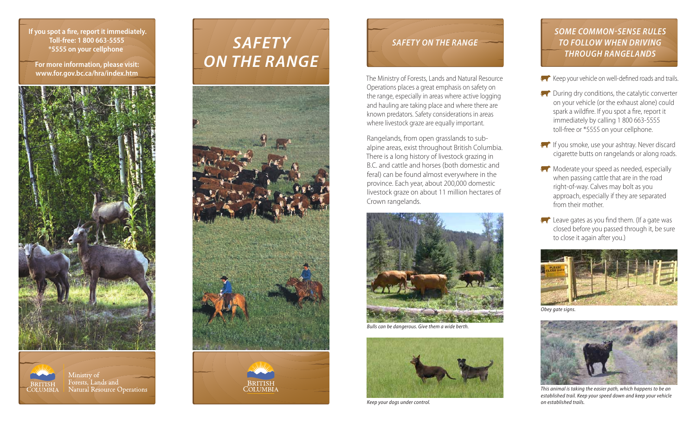**If you spot a fire, report it immediately. Toll-free: 1 800 663-5555 \*5555 on your cellphone**

**For more information, please visit: www.for.gov.bc.ca/hra/index.htm**



Ministry of Forests, Lands and

**Natural Resource Operations** 

**BRITISH** 

**COLUMBIA** 

# *SAFETY ON THE RANGE*





# *SAFETY ON THE RANGE*

The Ministry of Forests, Lands and Natural Resource Operations places a great emphasis on safety on the range, especially in areas where active logging and hauling are taking place and where there are known predators. Safety considerations in areas where livestock graze are equally important.

Rangelands, from open grasslands to subalpine areas, exist throughout British Columbia. There is a long history of livestock grazing in B.C. and cattle and horses (both domestic and feral) can be found almost everywhere in the province. Each year, about 200,000 domestic livestock graze on about 11 million hectares of Crown rangelands.



*Bulls can be dangerous. Give them a wide berth.*



*Keep your dogs under control.*

#### *SOME COMMON-SENSE RULES TO FOLLOW WHEN DRIVING THROUGH RANGELANDS*

- $\overline{K}$  Keep your vehicle on well-defined roads and trails.
- $\mathbb{R}$  During dry conditions, the catalytic converter on your vehicle (or the exhaust alone) could spark a wildfire. If you spot a fire, report it immediately by calling 1 800 663-5555 toll-free or \*5555 on your cellphone.
- If you smoke, use your ashtray. Never discard cigarette butts on rangelands or along roads.
- $\mathbb{N}$  Moderate your speed as needed, especially when passing cattle that are in the road right-of-way. Calves may bolt as you approach, especially if they are separated from their mother.
- **Leave gates as you find them.** (If a gate was closed before you passed through it, be sure to close it again after you.)



*Obey gate signs.*



*This animal is taking the easier path, which happens to be an established trail. Keep your speed down and keep your vehicle on established trails.*